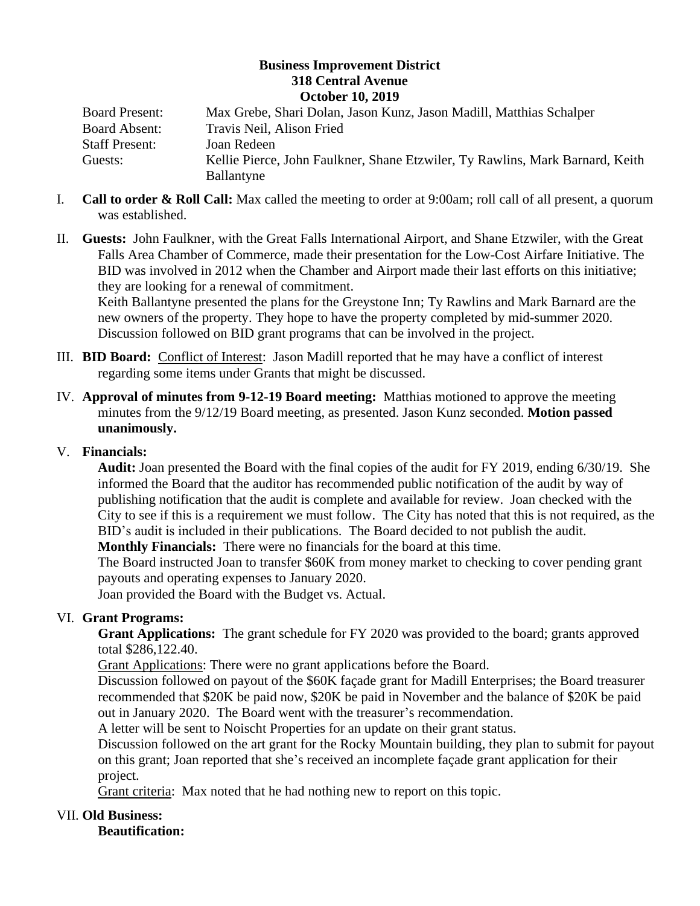## **Business Improvement District 318 Central Avenue October 10, 2019**

| <b>Board Present:</b> | Max Grebe, Shari Dolan, Jason Kunz, Jason Madill, Matthias Schalper           |
|-----------------------|-------------------------------------------------------------------------------|
| <b>Board Absent:</b>  | Travis Neil, Alison Fried                                                     |
| <b>Staff Present:</b> | Joan Redeen                                                                   |
| Guests:               | Kellie Pierce, John Faulkner, Shane Etzwiler, Ty Rawlins, Mark Barnard, Keith |
|                       | Ballantyne                                                                    |

- I. **Call to order & Roll Call:** Max called the meeting to order at 9:00am; roll call of all present, a quorum was established.
- II. **Guests:** John Faulkner, with the Great Falls International Airport, and Shane Etzwiler, with the Great Falls Area Chamber of Commerce, made their presentation for the Low-Cost Airfare Initiative. The BID was involved in 2012 when the Chamber and Airport made their last efforts on this initiative; they are looking for a renewal of commitment.

Keith Ballantyne presented the plans for the Greystone Inn; Ty Rawlins and Mark Barnard are the new owners of the property. They hope to have the property completed by mid-summer 2020. Discussion followed on BID grant programs that can be involved in the project.

- III. **BID Board:** Conflict of Interest: Jason Madill reported that he may have a conflict of interest regarding some items under Grants that might be discussed.
- IV. **Approval of minutes from 9-12-19 Board meeting:** Matthias motioned to approve the meeting minutes from the 9/12/19 Board meeting, as presented. Jason Kunz seconded. **Motion passed unanimously.**

## V. **Financials:**

**Audit:** Joan presented the Board with the final copies of the audit for FY 2019, ending 6/30/19. She informed the Board that the auditor has recommended public notification of the audit by way of publishing notification that the audit is complete and available for review. Joan checked with the City to see if this is a requirement we must follow. The City has noted that this is not required, as the BID's audit is included in their publications. The Board decided to not publish the audit.

**Monthly Financials:** There were no financials for the board at this time.

The Board instructed Joan to transfer \$60K from money market to checking to cover pending grant payouts and operating expenses to January 2020.

Joan provided the Board with the Budget vs. Actual.

## VI. **Grant Programs:**

**Grant Applications:** The grant schedule for FY 2020 was provided to the board; grants approved total \$286,122.40.

Grant Applications: There were no grant applications before the Board.

Discussion followed on payout of the \$60K façade grant for Madill Enterprises; the Board treasurer recommended that \$20K be paid now, \$20K be paid in November and the balance of \$20K be paid out in January 2020. The Board went with the treasurer's recommendation.

A letter will be sent to Noischt Properties for an update on their grant status.

Discussion followed on the art grant for the Rocky Mountain building, they plan to submit for payout on this grant; Joan reported that she's received an incomplete façade grant application for their project.

Grant criteria: Max noted that he had nothing new to report on this topic.

## VII. **Old Business:**

**Beautification:**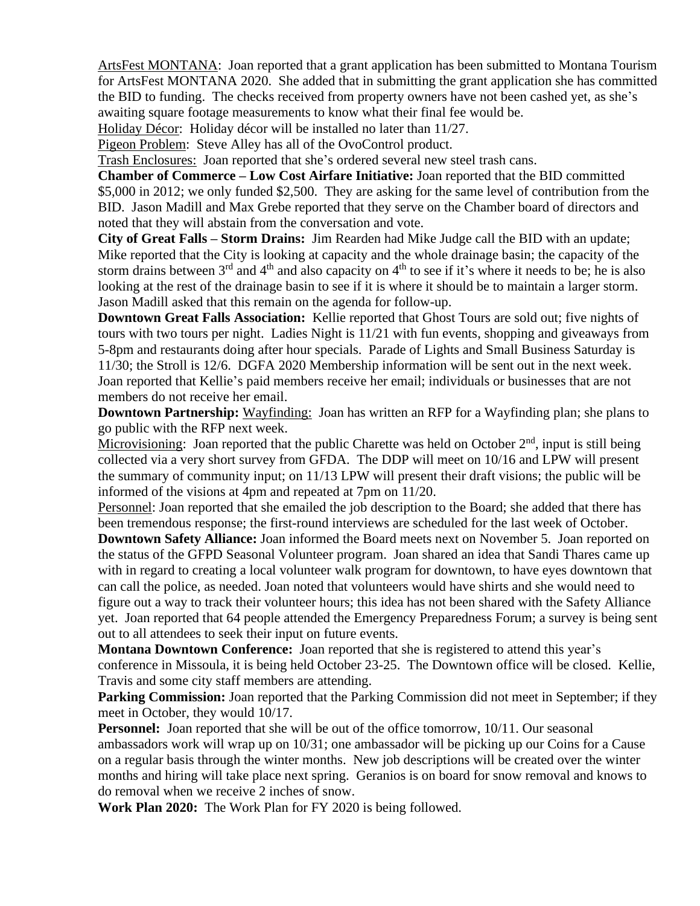ArtsFest MONTANA: Joan reported that a grant application has been submitted to Montana Tourism for ArtsFest MONTANA 2020. She added that in submitting the grant application she has committed the BID to funding. The checks received from property owners have not been cashed yet, as she's awaiting square footage measurements to know what their final fee would be.

Holiday Décor: Holiday décor will be installed no later than 11/27.

Pigeon Problem: Steve Alley has all of the OvoControl product.

Trash Enclosures: Joan reported that she's ordered several new steel trash cans.

**Chamber of Commerce – Low Cost Airfare Initiative:** Joan reported that the BID committed \$5,000 in 2012; we only funded \$2,500. They are asking for the same level of contribution from the BID. Jason Madill and Max Grebe reported that they serve on the Chamber board of directors and noted that they will abstain from the conversation and vote.

**City of Great Falls – Storm Drains:** Jim Rearden had Mike Judge call the BID with an update; Mike reported that the City is looking at capacity and the whole drainage basin; the capacity of the storm drains between  $3<sup>rd</sup>$  and  $4<sup>th</sup>$  and also capacity on  $4<sup>th</sup>$  to see if it's where it needs to be; he is also looking at the rest of the drainage basin to see if it is where it should be to maintain a larger storm. Jason Madill asked that this remain on the agenda for follow-up.

**Downtown Great Falls Association:** Kellie reported that Ghost Tours are sold out; five nights of tours with two tours per night. Ladies Night is 11/21 with fun events, shopping and giveaways from 5-8pm and restaurants doing after hour specials. Parade of Lights and Small Business Saturday is 11/30; the Stroll is 12/6. DGFA 2020 Membership information will be sent out in the next week. Joan reported that Kellie's paid members receive her email; individuals or businesses that are not members do not receive her email.

**Downtown Partnership:** Wayfinding: Joan has written an RFP for a Wayfinding plan; she plans to go public with the RFP next week.

Microvisioning: Joan reported that the public Charette was held on October 2<sup>nd</sup>, input is still being collected via a very short survey from GFDA. The DDP will meet on 10/16 and LPW will present the summary of community input; on 11/13 LPW will present their draft visions; the public will be informed of the visions at 4pm and repeated at 7pm on 11/20.

Personnel: Joan reported that she emailed the job description to the Board; she added that there has been tremendous response; the first-round interviews are scheduled for the last week of October.

**Downtown Safety Alliance:** Joan informed the Board meets next on November 5. Joan reported on the status of the GFPD Seasonal Volunteer program. Joan shared an idea that Sandi Thares came up with in regard to creating a local volunteer walk program for downtown, to have eyes downtown that can call the police, as needed. Joan noted that volunteers would have shirts and she would need to figure out a way to track their volunteer hours; this idea has not been shared with the Safety Alliance yet. Joan reported that 64 people attended the Emergency Preparedness Forum; a survey is being sent out to all attendees to seek their input on future events.

**Montana Downtown Conference:** Joan reported that she is registered to attend this year's conference in Missoula, it is being held October 23-25. The Downtown office will be closed. Kellie, Travis and some city staff members are attending.

**Parking Commission:** Joan reported that the Parking Commission did not meet in September; if they meet in October, they would 10/17.

**Personnel:** Joan reported that she will be out of the office tomorrow, 10/11. Our seasonal ambassadors work will wrap up on 10/31; one ambassador will be picking up our Coins for a Cause on a regular basis through the winter months. New job descriptions will be created over the winter months and hiring will take place next spring. Geranios is on board for snow removal and knows to do removal when we receive 2 inches of snow.

**Work Plan 2020:** The Work Plan for FY 2020 is being followed.